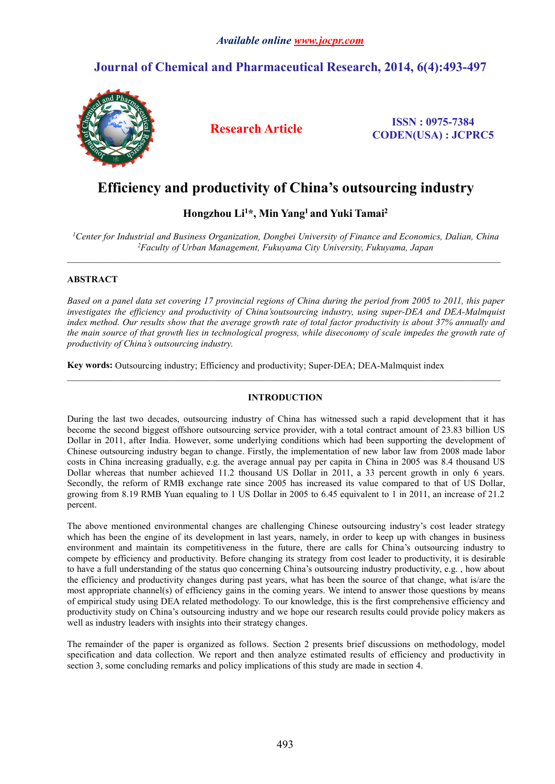# *Available online [www.jocpr.com](http://www.jocpr.com)*

# **Journal of Chemical and Pharmaceutical Research, 2014, 6(4):493-497**



**Research Article ISSN : 0975-7384 CODEN(USA) : JCPRC5**

# **Efficiency and productivity of China's outsourcing industry**

# **Hongzhou Li<sup>1</sup>\*, Min Yang<sup>1</sup> and Yuki Tamai<sup>2</sup>**

*<sup>1</sup>Center for Industrial and Business Organization, Dongbei University of Finance and Economics, Dalian, China <sup>2</sup>Faculty of Urban Management, Fukuyama City University, Fukuyama, Japan*

 $\_$  ,  $\_$  ,  $\_$  ,  $\_$  ,  $\_$  ,  $\_$  ,  $\_$  ,  $\_$  ,  $\_$  ,  $\_$  ,  $\_$  ,  $\_$  ,  $\_$  ,  $\_$  ,  $\_$  ,  $\_$  ,  $\_$  ,  $\_$  ,  $\_$  ,  $\_$  ,  $\_$  ,  $\_$  ,  $\_$  ,  $\_$  ,  $\_$  ,  $\_$  ,  $\_$  ,  $\_$  ,  $\_$  ,  $\_$  ,  $\_$  ,  $\_$  ,  $\_$  ,  $\_$  ,  $\_$  ,  $\_$  ,  $\_$  ,

 $\_$  ,  $\_$  ,  $\_$  ,  $\_$  ,  $\_$  ,  $\_$  ,  $\_$  ,  $\_$  ,  $\_$  ,  $\_$  ,  $\_$  ,  $\_$  ,  $\_$  ,  $\_$  ,  $\_$  ,  $\_$  ,  $\_$  ,  $\_$  ,  $\_$  ,  $\_$  ,  $\_$  ,  $\_$  ,  $\_$  ,  $\_$  ,  $\_$  ,  $\_$  ,  $\_$  ,  $\_$  ,  $\_$  ,  $\_$  ,  $\_$  ,  $\_$  ,  $\_$  ,  $\_$  ,  $\_$  ,  $\_$  ,  $\_$  ,

# **ABSTRACT**

Based on a panel data set covering 17 provincial regions of China during the period from 2005 to 2011, this paper *investigates the efficiency and productivity of China'soutsourcing industry, using super-DEA and DEA-Malmquist* index method. Our results show that the average growth rate of total factor productivity is about 37% annually and the main source of that growth lies in technological progress, while diseconomy of scale impedes the growth rate of *productivity of China's outsourcing industry.*

**Key words:**Outsourcing industry; Efficiency and productivity; Super-DEA; DEA-Malmquist index

# **INTRODUCTION**

During the last two decades, outsourcing industry of China has witnessed such a rapid development that it has become the second biggest offshore outsourcing service provider, with a total contract amount of 23.83 billion US Dollar in 2011, after India. However, some underlying conditions which had been supporting the development of Chinese outsourcing industry began to change. Firstly, the implementation of new labor law from 2008 made labor costs in China increasing gradually, e.g. the average annual pay per capita in China in 2005 was 8.4 thousand US Dollar whereas that number achieved 11.2 thousand US Dollar in 2011, a 33 percent growth in only 6 years. Secondly, the reform of RMB exchange rate since 2005 has increased its value compared to that of US Dollar, growing from 8.19 RMB Yuan equaling to 1 US Dollar in 2005 to 6.45 equivalent to 1 in 2011, an increase of 21.2 percent.

The above mentioned environmental changes are challenging Chinese outsourcing industry's cost leader strategy which has been the engine of its development in last years, namely, in order to keep up with changes in business environment and maintain its competitiveness in the future, there are calls for China's outsourcing industry to compete by efficiency and productivity. Before changing its strategy from costleader to productivity, it is desirable to have a full understanding of the status quo concerning China's outsourcing industry productivity, e.g. , how about the efficiency and productivity changes during past years, what has been the source of that change, what is/are the most appropriate channel(s) of efficiency gains in the coming years. We intend to answerthose questions by means of empirical study using DEA related methodology. To our knowledge, this is the first comprehensive efficiency and productivity study on China's outsourcing industry and we hope our research results could provide policy makers as well as industry leaders with insights into their strategy changes.

The remainder of the paper is organized as follows. Section 2 presents brief discussions on methodology, model specification and data collection. We report and then analyze estimated results of efficiency and productivity in section 3, some concluding remarks and policy implications of this study are made in section 4.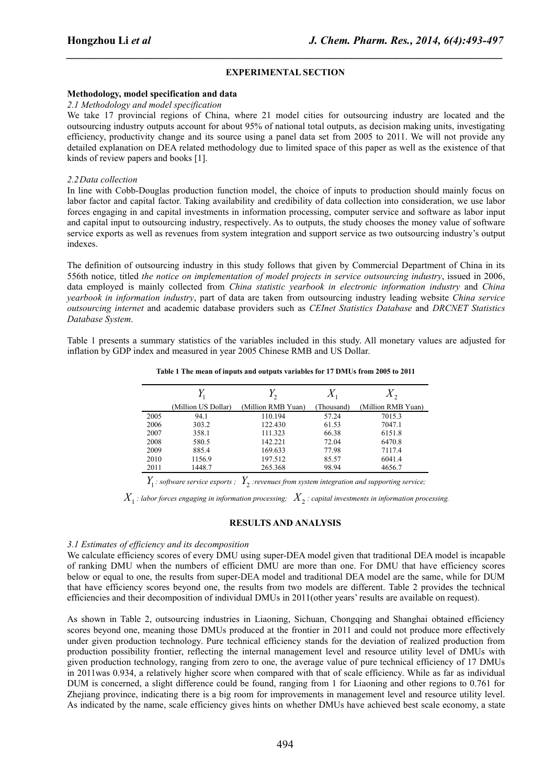## **EXPERIMENTAL SECTION**

*\_\_\_\_\_\_\_\_\_\_\_\_\_\_\_\_\_\_\_\_\_\_\_\_\_\_\_\_\_\_\_\_\_\_\_\_\_\_\_\_\_\_\_\_\_\_\_\_\_\_\_\_\_\_\_\_\_\_\_\_\_\_\_\_\_\_\_\_\_\_\_\_\_\_\_\_\_\_*

#### **Methodology, model specification and data**

#### *2.1 Methodology and model specification*

We take 17 provincial regions of China, where 21 model cities for outsourcing industry are located and the outsourcing industry outputs account for about 95% of national total outputs, as decision making units, investigating efficiency, productivity change and its source using a panel data set from 2005 to 2011. We will not provide any detailed explanation on DEA related methodology due to limited space of this paper as well as the existence of that kinds of review papers and books [1].

#### *2.2Data collection*

In line with Cobb-Douglas production function model, the choice of inputs to production should mainly focus on labor factor and capital factor. Taking availability and credibility of data collection into consideration, we use labor forces engaging in and capital investments in information processing, computer service and software as labor input and capital input to outsourcing industry, respectively. As to outputs, the study chooses the money value of software service exports as well as revenues from system integration and support service as two outsourcing industry's output indexes.

The definition of outsourcing industry in this study follows that given by Commercial Department of China in its 556th notice, titled *the notice on implementation of model projects in service outsourcing industry*, issued in 2006, data employed is mainly collected from *China statistic yearbook in electronic information industry* and *China yearbook in information industry*, part of data are taken from outsourcing industry leading website *China service outsourcing internet* and academic database providers such as *CEInet Statistics Database* and *DRCNET Statistics Database System*.

Table 1 presents a summary statistics of the variables included in this study. All monetary values are adjusted for inflation by GDP index and measured in year 2005 Chinese RMB and US Dollar.

|  |  | Table 1 The mean of inputs and outputs variables for 17 DMUs from 2005 to 2011 |
|--|--|--------------------------------------------------------------------------------|
|--|--|--------------------------------------------------------------------------------|

|      | £ 1                 | $\sim$ 2           |            |                    |
|------|---------------------|--------------------|------------|--------------------|
|      | (Million US Dollar) | (Million RMB Yuan) | (Thousand) | (Million RMB Yuan) |
| 2005 | 94.1                | 110.194            | 57.24      | 7015.3             |
| 2006 | 303.2               | 122.430            | 61.53      | 7047.1             |
| 2007 | 358.1               | 111.323            | 66.38      | 6151.8             |
| 2008 | 580.5               | 142.221            | 72.04      | 6470.8             |
| 2009 | 885.4               | 169.633            | 77.98      | 7117.4             |
| 2010 | 1156.9              | 197.512            | 85.57      | 6041.4             |
| 2011 | 1448.7              | 265.368            | 98.94      | 4656.7             |

*Y*<sup>1</sup> *: software service exports ; Y*<sup>2</sup> *:revenues from system integration and supporting service;*

 $X_1$  : labor forces engaging in information processing;  $\ X_2$  : capital investments in information processing.

#### **RESULTS AND ANALYSIS**

#### *3.1 Estimates of efficiency and its decomposition*

We calculate efficiency scores of every DMU using super-DEA model given that traditional DEA model is incapable of ranking DMU when the numbers of efficient DMU are more than one. For DMU that have efficiency scores below or equal to one, the results from super-DEA model and traditional DEA model are the same, while for DUM that have efficiency scores beyond one, the results from two models are different. Table 2 provides the technical efficiencies and their decomposition of individual DMUs in 2011(other years' results are available on request).

As shown in Table 2, outsourcing industries in Liaoning, Sichuan, Chongqing and Shanghai obtained efficiency scores beyond one, meaning those DMUs produced at the frontier in 2011 and could not produce more effectively under given production technology. Pure technical efficiency stands for the deviation of realized production from production possibility frontier, reflecting the internal management level and resource utility level of DMUs with given production technology, ranging from zero to one, the average value of pure technical efficiency of 17 DMUs in 2011was 0.934, a relatively higher score when compared with that of scale efficiency. While as far as individual DUM is concerned, a slight difference could be found, ranging from 1 for Liaoning and other regions to 0.761 for Zhejiang province, indicating there isa big room for improvements in management level and resource utility level. As indicated by the name, scale efficiency gives hints on whether DMUs have achieved best scale economy, a state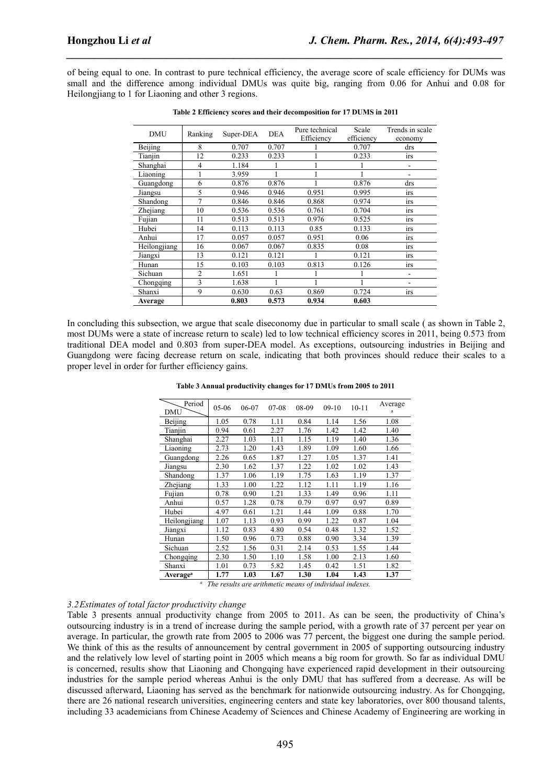of being equal to one. In contrast to pure technical efficiency, the average score of scale efficiency for DUMs was small and the difference among individual DMUs was quite big, ranging from 0.06 for Anhui and 0.08 for Heilongjiang to 1 for Liaoning and other 3 regions.

*\_\_\_\_\_\_\_\_\_\_\_\_\_\_\_\_\_\_\_\_\_\_\_\_\_\_\_\_\_\_\_\_\_\_\_\_\_\_\_\_\_\_\_\_\_\_\_\_\_\_\_\_\_\_\_\_\_\_\_\_\_\_\_\_\_\_\_\_\_\_\_\_\_\_\_\_\_\_*

| <b>DMU</b>   | Ranking        | Super-DEA | <b>DEA</b> | Pure technical<br>Efficiency | Scale<br>efficiency | Trends in scale<br>economy |
|--------------|----------------|-----------|------------|------------------------------|---------------------|----------------------------|
| Beijing      | 8              | 0.707     | 0.707      |                              | 0.707               | drs                        |
| Tianjin      | 12             | 0.233     | 0.233      |                              | 0.233               | <i>irs</i>                 |
| Shanghai     | 4              | 1.184     |            |                              |                     | ۰                          |
| Liaoning     |                | 3.959     |            |                              |                     |                            |
| Guangdong    | 6              | 0.876     | 0.876      |                              | 0.876               | drs                        |
| Jiangsu      | 5              | 0.946     | 0.946      | 0.951                        | 0.995               | <i>irs</i>                 |
| Shandong     | 7              | 0.846     | 0.846      | 0.868                        | 0.974               | <i>irs</i>                 |
| Zhejiang     | 10             | 0.536     | 0.536      | 0.761                        | 0.704               | <i>irs</i>                 |
| Fujian       | 11             | 0.513     | 0.513      | 0.976                        | 0.525               | <i>irs</i>                 |
| Hubei        | 14             | 0.113     | 0.113      | 0.85                         | 0.133               | <i>irs</i>                 |
| Anhui        | 17             | 0.057     | 0.057      | 0.951                        | 0.06                | <i>irs</i>                 |
| Heilongjiang | 16             | 0.067     | 0.067      | 0.835                        | 0.08                | <i>irs</i>                 |
| Jiangxi      | 13             | 0.121     | 0.121      |                              | 0.121               | <i>irs</i>                 |
| Hunan        | 15             | 0.103     | 0.103      | 0.813                        | 0.126               | II'S                       |
| Sichuan      | $\overline{2}$ | 1.651     |            |                              |                     | ۰                          |
| Chongqing    | 3              | 1.638     |            |                              |                     | ۰                          |
| Shanxi       | 9              | 0.630     | 0.63       | 0.869                        | 0.724               | 1rs                        |
| Average      |                | 0.803     | 0.573      | 0.934                        | 0.603               |                            |

**Table 2 Efficiency scores and their decomposition for 17 DUMS in 2011**

In concluding this subsection, we argue that scale diseconomy due in particular to small scale ( as shown in Table 2, most DUMs were a state of increase return to scale) led to low technical efficiency scores in 2011, being 0.573 from traditional DEA model and 0.803 from super-DEA model. As exceptions, outsourcing industries in Beijing and Guangdong were facing decrease return on scale, indicating that both provinces should reduce their scales to a proper level in order for further efficiency gains.

**Table 3 Annual productivity changes for 17 DMUs from 2005 to 2011**

| Period<br>DMU               | $05-06$ | 06-07 | $07-08$ | 08-09 | $09-10$ | $10 - 11$ | Average<br>a |
|-----------------------------|---------|-------|---------|-------|---------|-----------|--------------|
| Beijing                     | 1.05    | 0.78  | 1.11    | 0.84  | 1.14    | 1.56      | 1.08         |
| Tianjin                     | 0.94    | 0.61  | 2.27    | 1.76  | 1.42    | 1.42      | 1.40         |
| Shanghai                    | 2.27    | 1.03  | 1.11    | 1.15  | 1.19    | 1.40      | 1.36         |
| Liaoning                    | 2.73    | 1.20  | 1.43    | 1.89  | 1.09    | 1.60      | 1.66         |
| Guangdong                   | 2.26    | 0.65  | 1.87    | 1.27  | 1.05    | 1.37      | 1.41         |
| Jiangsu                     | 2.30    | 1.62  | 1.37    | 1.22  | 1.02    | 1.02      | 1.43         |
| Shandong                    | 1.37    | 1.06  | 1.19    | 1.75  | 1.63    | 1.19      | 1.37         |
| Zhejiang                    | 1.33    | 1.00  | 1.22    | 1.12  | 1.11    | 1.19      | 1.16         |
| Fujian                      | 0.78    | 0.90  | 1.21    | 1.33  | 1.49    | 0.96      | 1.11         |
| Anhui                       | 0.57    | 1.28  | 0.78    | 0.79  | 0.97    | 0.97      | 0.89         |
| Hubei                       | 4.97    | 0.61  | 1.21    | 1.44  | 1.09    | 0.88      | 1.70         |
| Heilongjiang                | 1.07    | 1.13  | 0.93    | 0.99  | 1.22    | 0.87      | 1.04         |
| Jiangxi                     | 1.12    | 0.83  | 4.80    | 0.54  | 0.48    | 1.32      | 1.52         |
| Hunan                       | 1.50    | 0.96  | 0.73    | 0.88  | 0.90    | 3.34      | 1.39         |
| Sichuan                     | 2.52    | 1.56  | 0.31    | 2.14  | 0.53    | 1.55      | 1.44         |
| Chongqing                   | 2.30    | 1.50  | 1.10    | 1.58  | 1.00    | 2.13      | 1.60         |
| Shanxi                      | 1.01    | 0.73  | 5.82    | 1.45  | 0.42    | 1.51      | 1.82         |
| <b>Average</b> <sup>a</sup> | 1.77    | 1.03  | 1.67    | 1.30  | 1.04    | 1.43      | 1.37         |

*<sup>a</sup> The results are arithmetic means of individual indexes.*

#### *3.2Estimates of total factor productivity change*

Table 3 presents annual productivity change from 2005 to 2011. As can be seen, the productivity of China's outsourcing industry is in a trend of increase during the sample period, with a growth rate of 37 percent per year on average. In particular, the growth rate from 2005 to 2006 was 77 percent, the biggest one during the sample period. We think of this as the results of announcement by central government in 2005 of supporting outsourcing industry and the relatively low level of starting point in 2005 which means a big room for growth. So far as individual DMU is concerned, results show that Liaoning and Chongqing have experienced rapid development in their outsourcing industries for the sample period whereas Anhui is the only DMU that has suffered from a decrease. As will be discussed afterward, Liaoning has served as the benchmark for nationwide outsourcing industry. As for Chongqing, there are 26 national research universities, engineering centers and state key laboratories, over 800 thousand talents, including 33 academicians from Chinese Academy of Sciences and Chinese Academy of Engineering are working in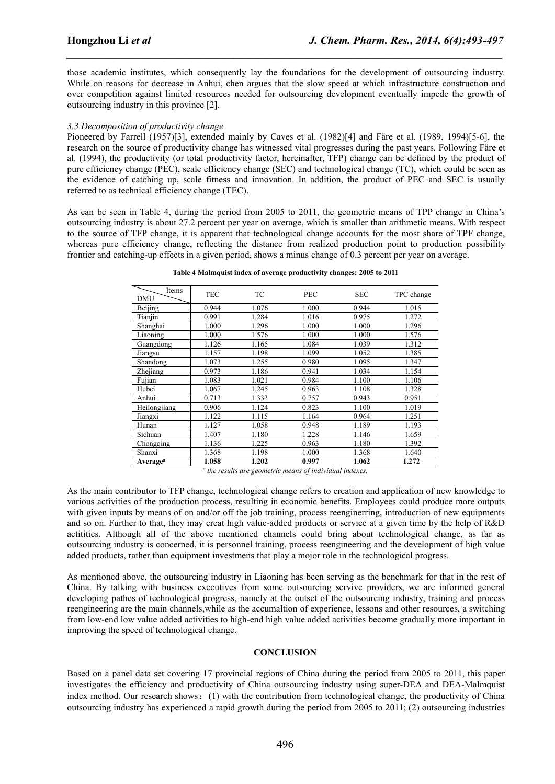those academic institutes, which consequently lay the foundations for the development of outsourcing industry. While on reasons for decrease in Anhui, chen argues that the slow speed at which infrastructure construction and over competition against limited resources needed for outsourcing development eventually impede the growth of outsourcing industry in this province [2].

*\_\_\_\_\_\_\_\_\_\_\_\_\_\_\_\_\_\_\_\_\_\_\_\_\_\_\_\_\_\_\_\_\_\_\_\_\_\_\_\_\_\_\_\_\_\_\_\_\_\_\_\_\_\_\_\_\_\_\_\_\_\_\_\_\_\_\_\_\_\_\_\_\_\_\_\_\_\_*

#### *3.3 Decomposition of productivity change*

Pioneered by Farrell (1957)[3], extended mainly by Caves et al. (1982)[4] and Färe et al. (1989, 1994)[5-6], the research on the source of productivity change has witnessed vital progresses during the past years. Following Färe et al. (1994), the productivity (or total productivity factor, hereinafter, TFP) change can be defined by the product of pure efficiency change (PEC), scale efficiency change (SEC) and technological change (TC), which could be seen as the evidence of catching up, scale fitness and innovation. In addition, the product of PEC and SEC is usually referred to astechnical efficiency change (TEC).

As can be seen in Table 4, during the period from 2005 to 2011, the geometric means of TPP change in China's outsourcing industry is about 27.2 percent per year on average, which is smaller than arithmetic means. With respect to the source of TFP change, it is apparent that technological change accounts for the most share of TPF change, whereas pure efficiency change, reflecting the distance from realized production point to production possibility frontier and catching-up effects in a given period, shows a minus change of 0.3 percent per year on average.

| Table 4 Malmquist index of average productivity changes: 2005 to 2011 |  |
|-----------------------------------------------------------------------|--|
|-----------------------------------------------------------------------|--|

| Items<br><b>DMU</b>  | <b>TEC</b> | ТC    | <b>PEC</b> | <b>SEC</b> | TPC change |
|----------------------|------------|-------|------------|------------|------------|
| Beijing              | 0.944      | 1.076 | 1.000      | 0.944      | 1.015      |
| Tianjin              | 0.991      | 1.284 | 1.016      | 0.975      | 1.272      |
| Shanghai             | 1.000      | 1.296 | 1.000      | 1.000      | 1.296      |
| Liaoning             | 1.000      | 1.576 | 1.000      | 1.000      | 1.576      |
| Guangdong            | 1.126      | 1.165 | 1.084      | 1.039      | 1.312      |
| Jiangsu              | 1.157      | 1.198 | 1.099      | 1.052      | 1.385      |
| Shandong             | 1.073      | 1.255 | 0.980      | 1.095      | 1.347      |
| Zhejiang             | 0.973      | 1.186 | 0.941      | 1.034      | 1.154      |
| Fujian               | 1.083      | 1.021 | 0.984      | 1.100      | 1.106      |
| Hubei                | 1.067      | 1.245 | 0.963      | 1.108      | 1.328      |
| Anhui                | 0.713      | 1.333 | 0.757      | 0.943      | 0.951      |
| Heilongjiang         | 0.906      | 1.124 | 0.823      | 1.100      | 1.019      |
| Jiangxi              | 1.122      | 1.115 | 1.164      | 0.964      | 1.251      |
| Hunan                | 1.127      | 1.058 | 0.948      | 1.189      | 1.193      |
| Sichuan              | 1.407      | 1.180 | 1.228      | 1.146      | 1.659      |
| Chongqing            | 1.136      | 1.225 | 0.963      | 1.180      | 1.392      |
| Shanxi               | 1.368      | 1.198 | 1.000      | 1.368      | 1.640      |
| Average <sup>a</sup> | 1.058      | 1.202 | 0.997      | 1.062      | 1.272      |

*a the results are geometric means of individual indexes.*

As the main contributor to TFP change, technological change refers to creation and application of new knowledge to various activities of the production process, resulting in economic benefits. Employees could produce more outputs with given inputs by means of on and/or off the job training, process reenginerring, introduction of new equipments and so on. Further to that, they may creat high value-added products or service at a given time by the help of R&D actitities. Although all of the above mentioned channels could bring about technological change, as far as outsourcing industry is concerned, it is personnel training, process reengineering and the development of high value added products, rather than equipment investmens that play a mojor role in the technological progress.

As mentioned above, the outsourcing industry in Liaoning has been serving as the benchmark for that in the rest of China. By talking with business executives from some outsourcing servive providers, we are informed general developing pathes of technological progress, namely at the outset of the outsourcing industry, training and process reengineering are the main channels,while as the accumaltion of experience, lessons and other resources, a switching from low-end low value added activities to high-end high value added activities become gradually more important in improving the speed of technological change.

#### **CONCLUSION**

Based on a panel data set covering 17 provincial regions of China during the period from 2005 to 2011, this paper investigates the efficiency and productivity of China outsourcing industry using super-DEA and DEA-Malmquist index method. Our research shows: (1) with the contribution from technological change, the productivity of China outsourcing industry has experienced a rapid growth during the period from 2005 to 2011; (2) outsourcing industries